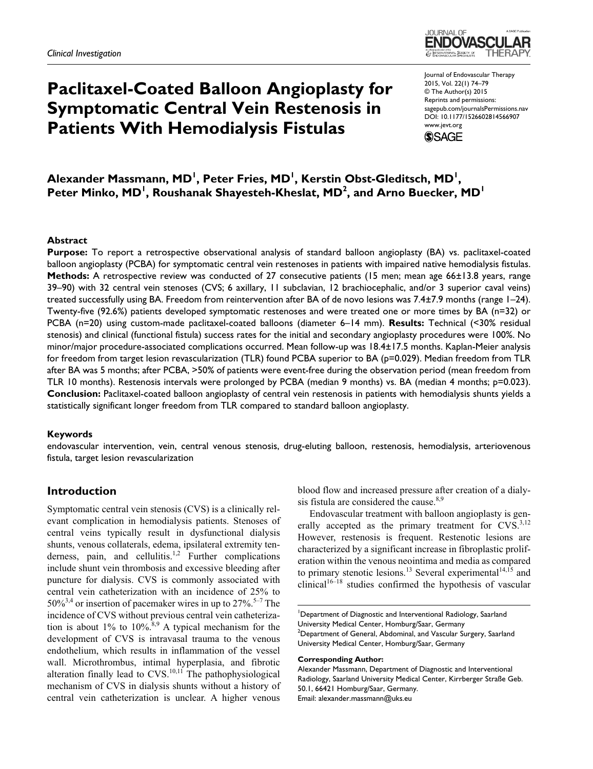# **Paclitaxel-Coated Balloon Angioplasty for Symptomatic Central Vein Restenosis in Patients With Hemodialysis Fistulas**



Journal of Endovascular Therapy 2015, Vol. 22(1) 74–79 © The Author(s) 2015 Reprints and permissions: sagepub.com/journalsPermissions.nav DOI: 10.1177/1526602814566907 www.jevt.org **SSAGE** 

Alexander Massmann, MD<sup>I</sup>, Peter Fries, MD<sup>I</sup>, Kerstin Obst-Gleditsch, MD<sup>I</sup>, Peter Minko, MD<sup>1</sup>, Roushanak Shayesteh-Kheslat, MD<sup>2</sup>, and Arno Buecker, MD<sup>1</sup>

## **Abstract**

**Purpose:** To report a retrospective observational analysis of standard balloon angioplasty (BA) vs. paclitaxel-coated balloon angioplasty (PCBA) for symptomatic central vein restenoses in patients with impaired native hemodialysis fistulas. **Methods:** A retrospective review was conducted of 27 consecutive patients (15 men; mean age 66±13.8 years, range 39–90) with 32 central vein stenoses (CVS; 6 axillary, 11 subclavian, 12 brachiocephalic, and/or 3 superior caval veins) treated successfully using BA. Freedom from reintervention after BA of de novo lesions was 7.4±7.9 months (range 1–24). Twenty-five (92.6%) patients developed symptomatic restenoses and were treated one or more times by BA (n=32) or PCBA (n=20) using custom-made paclitaxel-coated balloons (diameter 6–14 mm). **Results:** Technical (<30% residual stenosis) and clinical (functional fistula) success rates for the initial and secondary angioplasty procedures were 100%. No minor/major procedure-associated complications occurred. Mean follow-up was 18.4±17.5 months. Kaplan-Meier analysis for freedom from target lesion revascularization (TLR) found PCBA superior to BA (p=0.029). Median freedom from TLR after BA was 5 months; after PCBA, >50% of patients were event-free during the observation period (mean freedom from TLR 10 months). Restenosis intervals were prolonged by PCBA (median 9 months) vs. BA (median 4 months; p=0.023). **Conclusion:** Paclitaxel-coated balloon angioplasty of central vein restenosis in patients with hemodialysis shunts yields a statistically significant longer freedom from TLR compared to standard balloon angioplasty.

#### **Keywords**

endovascular intervention, vein, central venous stenosis, drug-eluting balloon, restenosis, hemodialysis, arteriovenous fistula, target lesion revascularization

# **Introduction**

Symptomatic central vein stenosis (CVS) is a clinically relevant complication in hemodialysis patients. Stenoses of central veins typically result in dysfunctional dialysis shunts, venous collaterals, edema, ipsilateral extremity tenderness, pain, and cellulitis.<sup>1,2</sup> Further complications include shunt vein thrombosis and excessive bleeding after puncture for dialysis. CVS is commonly associated with central vein catheterization with an incidence of 25% to  $50\%^{3,4}$  or insertion of pacemaker wires in up to  $27\%^{5-7}$  The incidence of CVS without previous central vein catheterization is about 1% to  $10\%$ .<sup>8,9</sup> A typical mechanism for the development of CVS is intravasal trauma to the venous endothelium, which results in inflammation of the vessel wall. Microthrombus, intimal hyperplasia, and fibrotic alteration finally lead to  $CVS$ <sup>10,11</sup> The pathophysiological mechanism of CVS in dialysis shunts without a history of central vein catheterization is unclear. A higher venous

blood flow and increased pressure after creation of a dialysis fistula are considered the cause. $8,9$ 

Endovascular treatment with balloon angioplasty is generally accepted as the primary treatment for  $CVS^{3,12}$ However, restenosis is frequent. Restenotic lesions are characterized by a significant increase in fibroplastic proliferation within the venous neointima and media as compared to primary stenotic lesions.<sup>13</sup> Several experimental<sup>14, $\hat{15}$ </sup> and  $clinical<sup>16–18</sup>$  studies confirmed the hypothesis of vascular

<sup>1</sup>Department of Diagnostic and Interventional Radiology, Saarland University Medical Center, Homburg/Saar, Germany  $^2$ Department of General, Abdominal, and Vascular Surgery, Saarland University Medical Center, Homburg/Saar, Germany

#### **Corresponding Author:**

Alexander Massmann, Department of Diagnostic and Interventional Radiology, Saarland University Medical Center, Kirrberger Straße Geb. 50.1, 66421 Homburg/Saar, Germany. Email: [alexander.massmann@uks.eu](mailto:alexander.massmann@uks.eu)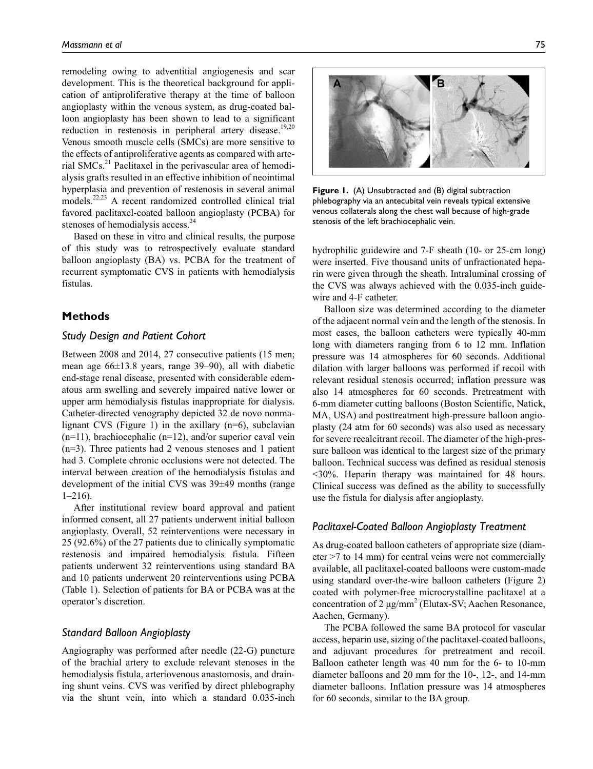remodeling owing to adventitial angiogenesis and scar development. This is the theoretical background for application of antiproliferative therapy at the time of balloon angioplasty within the venous system, as drug-coated balloon angioplasty has been shown to lead to a significant reduction in restenosis in peripheral artery disease.<sup>19,20</sup> Venous smooth muscle cells (SMCs) are more sensitive to the effects of antiproliferative agents as compared with arterial  $SMCs<sup>21</sup>$  Paclitaxel in the perivascular area of hemodialysis grafts resulted in an effective inhibition of neointimal hyperplasia and prevention of restenosis in several animal models.22,23 A recent randomized controlled clinical trial favored paclitaxel-coated balloon angioplasty (PCBA) for stenoses of hemodialysis access.<sup>24</sup>

Based on these in vitro and clinical results, the purpose of this study was to retrospectively evaluate standard balloon angioplasty (BA) vs. PCBA for the treatment of recurrent symptomatic CVS in patients with hemodialysis fistulas.

# **Methods**

# *Study Design and Patient Cohort*

Between 2008 and 2014, 27 consecutive patients (15 men; mean age 66±13.8 years, range 39–90), all with diabetic end-stage renal disease, presented with considerable edematous arm swelling and severely impaired native lower or upper arm hemodialysis fistulas inappropriate for dialysis. Catheter-directed venography depicted 32 de novo nonmalignant CVS (Figure 1) in the axillary (n=6), subclavian  $(n=11)$ , brachiocephalic  $(n=12)$ , and/or superior caval vein (n=3). Three patients had 2 venous stenoses and 1 patient had 3. Complete chronic occlusions were not detected. The interval between creation of the hemodialysis fistulas and development of the initial CVS was 39±49 months (range 1–216).

After institutional review board approval and patient informed consent, all 27 patients underwent initial balloon angioplasty. Overall, 52 reinterventions were necessary in 25 (92.6%) of the 27 patients due to clinically symptomatic restenosis and impaired hemodialysis fistula. Fifteen patients underwent 32 reinterventions using standard BA and 10 patients underwent 20 reinterventions using PCBA (Table 1). Selection of patients for BA or PCBA was at the operator's discretion.

# *Standard Balloon Angioplasty*

Angiography was performed after needle (22-G) puncture of the brachial artery to exclude relevant stenoses in the hemodialysis fistula, arteriovenous anastomosis, and draining shunt veins. CVS was verified by direct phlebography via the shunt vein, into which a standard 0.035-inch



**Figure 1.** (A) Unsubtracted and (B) digital subtraction phlebography via an antecubital vein reveals typical extensive venous collaterals along the chest wall because of high-grade stenosis of the left brachiocephalic vein.

hydrophilic guidewire and 7-F sheath (10- or 25-cm long) were inserted. Five thousand units of unfractionated heparin were given through the sheath. Intraluminal crossing of the CVS was always achieved with the 0.035-inch guidewire and 4-F catheter.

Balloon size was determined according to the diameter of the adjacent normal vein and the length of the stenosis. In most cases, the balloon catheters were typically 40-mm long with diameters ranging from 6 to 12 mm. Inflation pressure was 14 atmospheres for 60 seconds. Additional dilation with larger balloons was performed if recoil with relevant residual stenosis occurred; inflation pressure was also 14 atmospheres for 60 seconds. Pretreatment with 6-mm diameter cutting balloons (Boston Scientific, Natick, MA, USA) and posttreatment high-pressure balloon angioplasty (24 atm for 60 seconds) was also used as necessary for severe recalcitrant recoil. The diameter of the high-pressure balloon was identical to the largest size of the primary balloon. Technical success was defined as residual stenosis <30%. Heparin therapy was maintained for 48 hours. Clinical success was defined as the ability to successfully use the fistula for dialysis after angioplasty.

# *Paclitaxel-Coated Balloon Angioplasty Treatment*

As drug-coated balloon catheters of appropriate size (diameter >7 to 14 mm) for central veins were not commercially available, all paclitaxel-coated balloons were custom-made using standard over-the-wire balloon catheters (Figure 2) coated with polymer-free microcrystalline paclitaxel at a concentration of 2  $\mu$ g/mm<sup>2</sup> (Elutax-SV; Aachen Resonance, Aachen, Germany).

The PCBA followed the same BA protocol for vascular access, heparin use, sizing of the paclitaxel-coated balloons, and adjuvant procedures for pretreatment and recoil. Balloon catheter length was 40 mm for the 6- to 10-mm diameter balloons and 20 mm for the 10-, 12-, and 14-mm diameter balloons. Inflation pressure was 14 atmospheres for 60 seconds, similar to the BA group.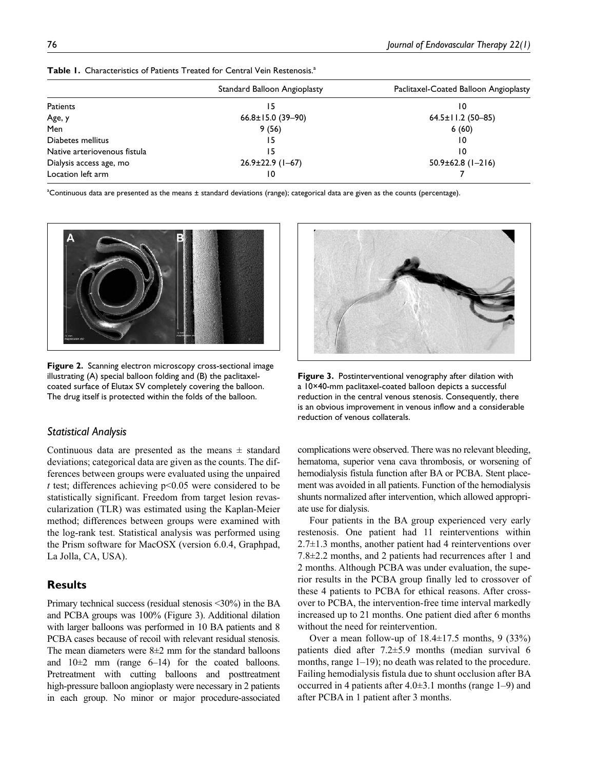|                              | Standard Balloon Angioplasty | Paclitaxel-Coated Balloon Angioplasty |
|------------------------------|------------------------------|---------------------------------------|
| Patients                     | 15                           | 10                                    |
| Age, y                       | $66.8 \pm 15.0$ (39-90)      | $64.5 \pm 11.2$ (50-85)               |
| Men                          | 9(56)                        | 6(60)                                 |
| Diabetes mellitus            | 15                           | 10                                    |
| Native arteriovenous fistula | 15                           | 10                                    |
| Dialysis access age, mo      | $26.9 \pm 22.9$ (1-67)       | $50.9 \pm 62.8$ (1-216)               |
| Location left arm            | 10                           |                                       |

**Table 1.** Characteristics of Patients Treated for Central Vein Restenosis.<sup>a</sup>

a Continuous data are presented as the means ± standard deviations (range); categorical data are given as the counts (percentage).



**Figure 2.** Scanning electron microscopy cross-sectional image illustrating (A) special balloon folding and (B) the paclitaxelcoated surface of Elutax SV completely covering the balloon. The drug itself is protected within the folds of the balloon.

# *Statistical Analysis*

Continuous data are presented as the means  $\pm$  standard deviations; categorical data are given as the counts. The differences between groups were evaluated using the unpaired *t* test; differences achieving p<0.05 were considered to be statistically significant. Freedom from target lesion revascularization (TLR) was estimated using the Kaplan-Meier method; differences between groups were examined with the log-rank test. Statistical analysis was performed using the Prism software for MacOSX (version 6.0.4, Graphpad, La Jolla, CA, USA).

# **Results**

Primary technical success (residual stenosis <30%) in the BA and PCBA groups was 100% (Figure 3). Additional dilation with larger balloons was performed in 10 BA patients and 8 PCBA cases because of recoil with relevant residual stenosis. The mean diameters were  $8\pm 2$  mm for the standard balloons and  $10\pm2$  mm (range 6–14) for the coated balloons. Pretreatment with cutting balloons and posttreatment high-pressure balloon angioplasty were necessary in 2 patients in each group. No minor or major procedure-associated



**Figure 3.** Postinterventional venography after dilation with a 10×40-mm paclitaxel-coated balloon depicts a successful reduction in the central venous stenosis. Consequently, there is an obvious improvement in venous inflow and a considerable reduction of venous collaterals.

complications were observed. There was no relevant bleeding, hematoma, superior vena cava thrombosis, or worsening of hemodialysis fistula function after BA or PCBA. Stent placement was avoided in all patients. Function of the hemodialysis shunts normalized after intervention, which allowed appropriate use for dialysis.

Four patients in the BA group experienced very early restenosis. One patient had 11 reinterventions within 2.7±1.3 months, another patient had 4 reinterventions over 7.8±2.2 months, and 2 patients had recurrences after 1 and 2 months. Although PCBA was under evaluation, the superior results in the PCBA group finally led to crossover of these 4 patients to PCBA for ethical reasons. After crossover to PCBA, the intervention-free time interval markedly increased up to 21 months. One patient died after 6 months without the need for reintervention.

Over a mean follow-up of  $18.4 \pm 17.5$  months, 9 (33%) patients died after 7.2±5.9 months (median survival 6 months, range 1–19); no death was related to the procedure. Failing hemodialysis fistula due to shunt occlusion after BA occurred in 4 patients after  $4.0\pm3.1$  months (range  $1-9$ ) and after PCBA in 1 patient after 3 months.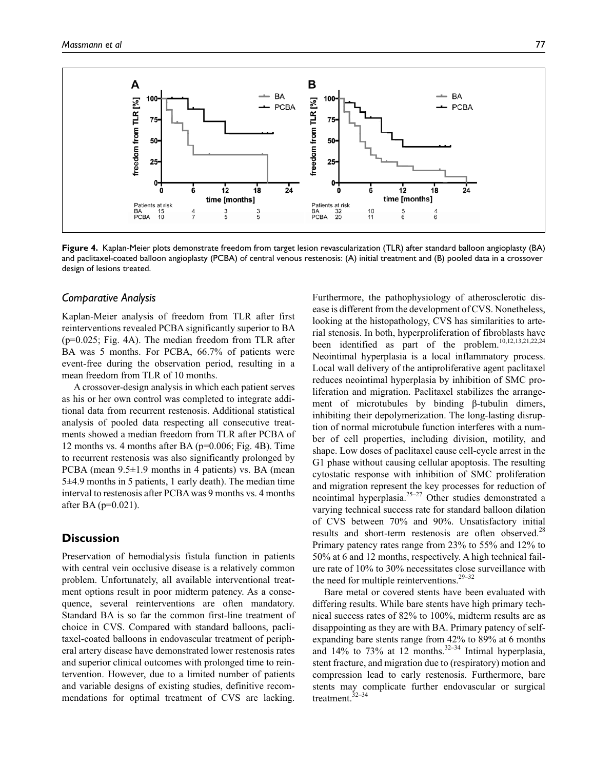

**Figure 4.** Kaplan-Meier plots demonstrate freedom from target lesion revascularization (TLR) after standard balloon angioplasty (BA) and paclitaxel-coated balloon angioplasty (PCBA) of central venous restenosis: (A) initial treatment and (B) pooled data in a crossover design of lesions treated.

# *Comparative Analysis*

Kaplan-Meier analysis of freedom from TLR after first reinterventions revealed PCBA significantly superior to BA (p=0.025; Fig. 4A). The median freedom from TLR after BA was 5 months. For PCBA, 66.7% of patients were event-free during the observation period, resulting in a mean freedom from TLR of 10 months.

A crossover-design analysis in which each patient serves as his or her own control was completed to integrate additional data from recurrent restenosis. Additional statistical analysis of pooled data respecting all consecutive treatments showed a median freedom from TLR after PCBA of 12 months vs. 4 months after BA (p=0.006; Fig. 4B). Time to recurrent restenosis was also significantly prolonged by PCBA (mean 9.5±1.9 months in 4 patients) vs. BA (mean 5±4.9 months in 5 patients, 1 early death). The median time interval to restenosis after PCBA was 9 months vs. 4 months after BA ( $p=0.021$ ).

# **Discussion**

Preservation of hemodialysis fistula function in patients with central vein occlusive disease is a relatively common problem. Unfortunately, all available interventional treatment options result in poor midterm patency. As a consequence, several reinterventions are often mandatory. Standard BA is so far the common first-line treatment of choice in CVS. Compared with standard balloons, paclitaxel-coated balloons in endovascular treatment of peripheral artery disease have demonstrated lower restenosis rates and superior clinical outcomes with prolonged time to reintervention. However, due to a limited number of patients and variable designs of existing studies, definitive recommendations for optimal treatment of CVS are lacking. Furthermore, the pathophysiology of atherosclerotic disease is different from the development of CVS. Nonetheless, looking at the histopathology, CVS has similarities to arterial stenosis. In both, hyperproliferation of fibroblasts have been identified as part of the problem.10,12,13,21,22,24 Neointimal hyperplasia is a local inflammatory process. Local wall delivery of the antiproliferative agent paclitaxel reduces neointimal hyperplasia by inhibition of SMC proliferation and migration. Paclitaxel stabilizes the arrangement of microtubules by binding β-tubulin dimers, inhibiting their depolymerization. The long-lasting disruption of normal microtubule function interferes with a number of cell properties, including division, motility, and shape. Low doses of paclitaxel cause cell-cycle arrest in the G1 phase without causing cellular apoptosis. The resulting cytostatic response with inhibition of SMC proliferation and migration represent the key processes for reduction of neointimal hyperplasia.25–27 Other studies demonstrated a varying technical success rate for standard balloon dilation of CVS between 70% and 90%. Unsatisfactory initial results and short-term restenosis are often observed.<sup>28</sup> Primary patency rates range from 23% to 55% and 12% to 50% at 6 and 12 months, respectively. A high technical failure rate of 10% to 30% necessitates close surveillance with the need for multiple reinterventions. $29-32$ 

Bare metal or covered stents have been evaluated with differing results. While bare stents have high primary technical success rates of 82% to 100%, midterm results are as disappointing as they are with BA. Primary patency of selfexpanding bare stents range from 42% to 89% at 6 months and  $14\%$  to 73% at 12 months.<sup>32-34</sup> Intimal hyperplasia, stent fracture, and migration due to (respiratory) motion and compression lead to early restenosis. Furthermore, bare stents may complicate further endovascular or surgical treatment.<sup>32-34</sup>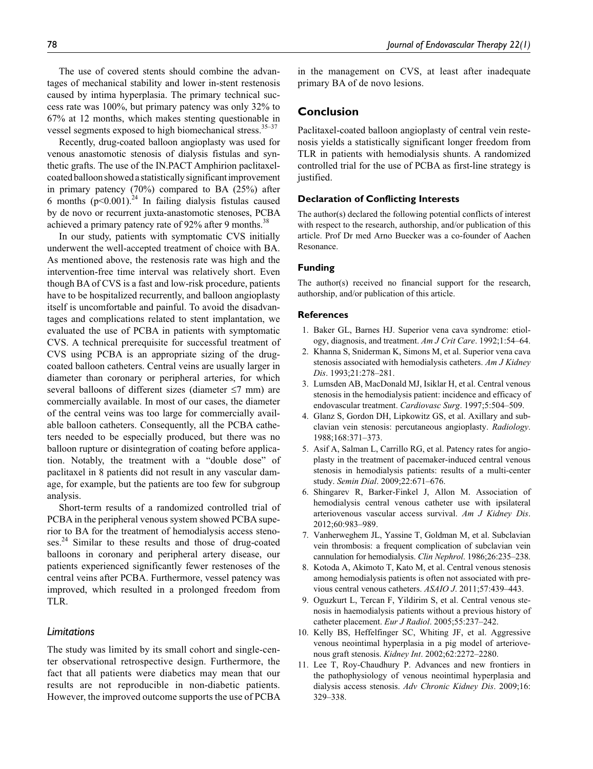The use of covered stents should combine the advantages of mechanical stability and lower in-stent restenosis caused by intima hyperplasia. The primary technical success rate was 100%, but primary patency was only 32% to 67% at 12 months, which makes stenting questionable in

vessel segments exposed to high biomechanical stress.<sup>35–37</sup> Recently, drug-coated balloon angioplasty was used for venous anastomotic stenosis of dialysis fistulas and synthetic grafts. The use of the IN.PACT Amphirion paclitaxelcoated balloon showed a statistically significant improvement in primary patency (70%) compared to BA (25%) after 6 months ( $p<0.001$ ).<sup>24</sup> In failing dialysis fistulas caused by de novo or recurrent juxta-anastomotic stenoses, PCBA achieved a primary patency rate of 92% after 9 months.<sup>38</sup>

In our study, patients with symptomatic CVS initially underwent the well-accepted treatment of choice with BA. As mentioned above, the restenosis rate was high and the intervention-free time interval was relatively short. Even though BA of CVS is a fast and low-risk procedure, patients have to be hospitalized recurrently, and balloon angioplasty itself is uncomfortable and painful. To avoid the disadvantages and complications related to stent implantation, we evaluated the use of PCBA in patients with symptomatic CVS. A technical prerequisite for successful treatment of CVS using PCBA is an appropriate sizing of the drugcoated balloon catheters. Central veins are usually larger in diameter than coronary or peripheral arteries, for which several balloons of different sizes (diameter ≤7 mm) are commercially available. In most of our cases, the diameter of the central veins was too large for commercially available balloon catheters. Consequently, all the PCBA catheters needed to be especially produced, but there was no balloon rupture or disintegration of coating before application. Notably, the treatment with a "double dose" of paclitaxel in 8 patients did not result in any vascular damage, for example, but the patients are too few for subgroup analysis.

Short-term results of a randomized controlled trial of PCBA in the peripheral venous system showed PCBA superior to BA for the treatment of hemodialysis access stenoses.<sup>24</sup> Similar to these results and those of drug-coated balloons in coronary and peripheral artery disease, our patients experienced significantly fewer restenoses of the central veins after PCBA. Furthermore, vessel patency was improved, which resulted in a prolonged freedom from TLR.

# *Limitations*

The study was limited by its small cohort and single-center observational retrospective design. Furthermore, the fact that all patients were diabetics may mean that our results are not reproducible in non-diabetic patients. However, the improved outcome supports the use of PCBA

in the management on CVS, at least after inadequate primary BA of de novo lesions.

# **Conclusion**

Paclitaxel-coated balloon angioplasty of central vein restenosis yields a statistically significant longer freedom from TLR in patients with hemodialysis shunts. A randomized controlled trial for the use of PCBA as first-line strategy is justified.

#### **Declaration of Conflicting Interests**

The author(s) declared the following potential conflicts of interest with respect to the research, authorship, and/or publication of this article. Prof Dr med Arno Buecker was a co-founder of Aachen Resonance.

#### **Funding**

The author(s) received no financial support for the research, authorship, and/or publication of this article.

#### **References**

- 1. Baker GL, Barnes HJ. Superior vena cava syndrome: etiology, diagnosis, and treatment. *Am J Crit Care*. 1992;1:54–64.
- 2. Khanna S, Sniderman K, Simons M, et al. Superior vena cava stenosis associated with hemodialysis catheters. *Am J Kidney Dis*. 1993;21:278–281.
- 3. Lumsden AB, MacDonald MJ, Isiklar H, et al. Central venous stenosis in the hemodialysis patient: incidence and efficacy of endovascular treatment. *Cardiovasc Surg*. 1997;5:504–509.
- 4. Glanz S, Gordon DH, Lipkowitz GS, et al. Axillary and subclavian vein stenosis: percutaneous angioplasty. *Radiology*. 1988;168:371–373.
- 5. Asif A, Salman L, Carrillo RG, et al. Patency rates for angioplasty in the treatment of pacemaker-induced central venous stenosis in hemodialysis patients: results of a multi-center study. *Semin Dial*. 2009;22:671–676.
- 6. Shingarev R, Barker-Finkel J, Allon M. Association of hemodialysis central venous catheter use with ipsilateral arteriovenous vascular access survival. *Am J Kidney Dis*. 2012;60:983–989.
- 7. Vanherweghem JL, Yassine T, Goldman M, et al. Subclavian vein thrombosis: a frequent complication of subclavian vein cannulation for hemodialysis. *Clin Nephrol*. 1986;26:235–238.
- 8. Kotoda A, Akimoto T, Kato M, et al. Central venous stenosis among hemodialysis patients is often not associated with previous central venous catheters. *ASAIO J*. 2011;57:439–443.
- 9. Oguzkurt L, Tercan F, Yildirim S, et al. Central venous stenosis in haemodialysis patients without a previous history of catheter placement. *Eur J Radiol*. 2005;55:237–242.
- 10. Kelly BS, Heffelfinger SC, Whiting JF, et al. Aggressive venous neointimal hyperplasia in a pig model of arteriovenous graft stenosis. *Kidney Int*. 2002;62:2272–2280.
- 11. Lee T, Roy-Chaudhury P. Advances and new frontiers in the pathophysiology of venous neointimal hyperplasia and dialysis access stenosis. *Adv Chronic Kidney Dis*. 2009;16: 329–338.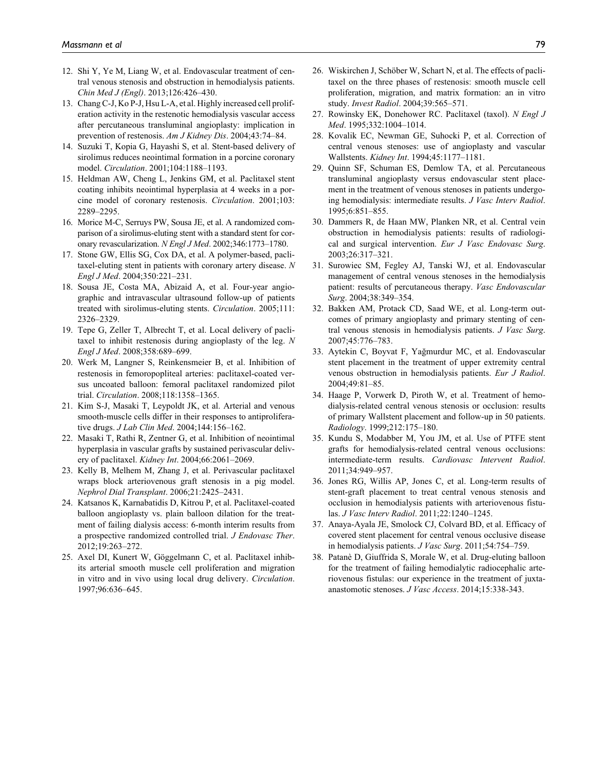- 12. Shi Y, Ye M, Liang W, et al. Endovascular treatment of central venous stenosis and obstruction in hemodialysis patients. *Chin Med J (Engl)*. 2013;126:426–430.
- 13. Chang C-J, Ko P-J, Hsu L-A, et al. Highly increased cell proliferation activity in the restenotic hemodialysis vascular access after percutaneous transluminal angioplasty: implication in prevention of restenosis. *Am J Kidney Dis*. 2004;43:74–84.
- 14. Suzuki T, Kopia G, Hayashi S, et al. Stent-based delivery of sirolimus reduces neointimal formation in a porcine coronary model. *Circulation*. 2001;104:1188–1193.
- 15. Heldman AW, Cheng L, Jenkins GM, et al. Paclitaxel stent coating inhibits neointimal hyperplasia at 4 weeks in a porcine model of coronary restenosis. *Circulation*. 2001;103: 2289–2295.
- 16. Morice M-C, Serruys PW, Sousa JE, et al. A randomized comparison of a sirolimus-eluting stent with a standard stent for coronary revascularization. *N Engl J Med*. 2002;346:1773–1780.
- 17. Stone GW, Ellis SG, Cox DA, et al. A polymer-based, paclitaxel-eluting stent in patients with coronary artery disease. *N Engl J Med*. 2004;350:221–231.
- 18. Sousa JE, Costa MA, Abizaid A, et al. Four-year angiographic and intravascular ultrasound follow-up of patients treated with sirolimus-eluting stents. *Circulation*. 2005;111: 2326–2329.
- 19. Tepe G, Zeller T, Albrecht T, et al. Local delivery of paclitaxel to inhibit restenosis during angioplasty of the leg. *N Engl J Med*. 2008;358:689–699.
- 20. Werk M, Langner S, Reinkensmeier B, et al. Inhibition of restenosis in femoropopliteal arteries: paclitaxel-coated versus uncoated balloon: femoral paclitaxel randomized pilot trial. *Circulation*. 2008;118:1358–1365.
- 21. Kim S-J, Masaki T, Leypoldt JK, et al. Arterial and venous smooth-muscle cells differ in their responses to antiproliferative drugs. *J Lab Clin Med*. 2004;144:156–162.
- 22. Masaki T, Rathi R, Zentner G, et al. Inhibition of neointimal hyperplasia in vascular grafts by sustained perivascular delivery of paclitaxel. *Kidney Int*. 2004;66:2061–2069.
- 23. Kelly B, Melhem M, Zhang J, et al. Perivascular paclitaxel wraps block arteriovenous graft stenosis in a pig model. *Nephrol Dial Transplant*. 2006;21:2425–2431.
- 24. Katsanos K, Karnabatidis D, Kitrou P, et al. Paclitaxel-coated balloon angioplasty vs. plain balloon dilation for the treatment of failing dialysis access: 6-month interim results from a prospective randomized controlled trial. *J Endovasc Ther*. 2012;19:263–272.
- 25. Axel DI, Kunert W, Göggelmann C, et al. Paclitaxel inhibits arterial smooth muscle cell proliferation and migration in vitro and in vivo using local drug delivery. *Circulation*. 1997;96:636–645.
- 26. Wiskirchen J, Schöber W, Schart N, et al. The effects of paclitaxel on the three phases of restenosis: smooth muscle cell proliferation, migration, and matrix formation: an in vitro study. *Invest Radiol*. 2004;39:565–571.
- 27. Rowinsky EK, Donehower RC. Paclitaxel (taxol). *N Engl J Med*. 1995;332:1004–1014.
- 28. Kovalik EC, Newman GE, Suhocki P, et al. Correction of central venous stenoses: use of angioplasty and vascular Wallstents. *Kidney Int*. 1994;45:1177–1181.
- 29. Quinn SF, Schuman ES, Demlow TA, et al. Percutaneous transluminal angioplasty versus endovascular stent placement in the treatment of venous stenoses in patients undergoing hemodialysis: intermediate results. *J Vasc Interv Radiol*. 1995;6:851–855.
- 30. Dammers R, de Haan MW, Planken NR, et al. Central vein obstruction in hemodialysis patients: results of radiological and surgical intervention. *Eur J Vasc Endovasc Surg*. 2003;26:317–321.
- 31. Surowiec SM, Fegley AJ, Tanski WJ, et al. Endovascular management of central venous stenoses in the hemodialysis patient: results of percutaneous therapy. *Vasc Endovascular Surg*. 2004;38:349–354.
- 32. Bakken AM, Protack CD, Saad WE, et al. Long-term outcomes of primary angioplasty and primary stenting of central venous stenosis in hemodialysis patients. *J Vasc Surg*. 2007;45:776–783.
- 33. Aytekin C, Boyvat F, Yağmurdur MC, et al. Endovascular stent placement in the treatment of upper extremity central venous obstruction in hemodialysis patients. *Eur J Radiol*. 2004;49:81–85.
- 34. Haage P, Vorwerk D, Piroth W, et al. Treatment of hemodialysis-related central venous stenosis or occlusion: results of primary Wallstent placement and follow-up in 50 patients. *Radiology*. 1999;212:175–180.
- 35. Kundu S, Modabber M, You JM, et al. Use of PTFE stent grafts for hemodialysis-related central venous occlusions: intermediate-term results. *Cardiovasc Intervent Radiol*. 2011;34:949–957.
- 36. Jones RG, Willis AP, Jones C, et al. Long-term results of stent-graft placement to treat central venous stenosis and occlusion in hemodialysis patients with arteriovenous fistulas. *J Vasc Interv Radiol*. 2011;22:1240–1245.
- 37. Anaya-Ayala JE, Smolock CJ, Colvard BD, et al. Efficacy of covered stent placement for central venous occlusive disease in hemodialysis patients. *J Vasc Surg*. 2011;54:754–759.
- 38. Patanè D, Giuffrida S, Morale W, et al. Drug-eluting balloon for the treatment of failing hemodialytic radiocephalic arteriovenous fistulas: our experience in the treatment of juxtaanastomotic stenoses. *J Vasc Access*. 2014;15:338-343.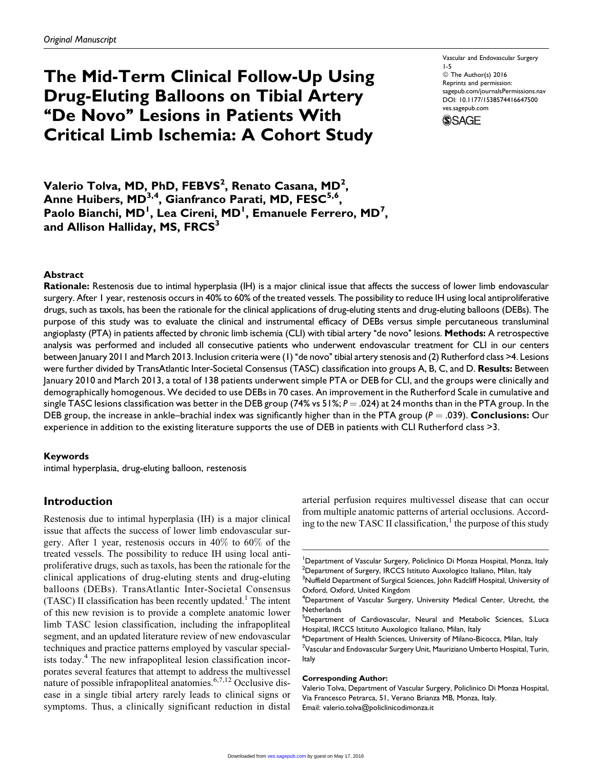# The Mid-Term Clinical Follow-Up Using Drug-Eluting Balloons on Tibial Artery ''De Novo'' Lesions in Patients With Critical Limb Ischemia: A Cohort Study

Vascular and Endovascular Surgery 1-5 ª The Author(s) 2016 Reprints and permission: [sagepub.com/journalsPermissions.nav](http://www.sagepub.com/journalsPermissions.nav) DOI: 10.1177/1538574416647500 [ves.sagepub.com](http://ves.sagepub.com)



Valerio Tolva, MD, PhD, FEBVS $^2$ , Renato Casana, MD $^2$ , Anne Huibers, MD<sup>3,4</sup>, Gianfranco Parati, MD, FESC<sup>5,6</sup>, Paolo Bianchi, MD<sup>1</sup>, Lea Cireni, MD<sup>1</sup>, Emanuele Ferrero, MD<sup>7</sup>, and Allison Halliday, MS,  $FRCS<sup>3</sup>$ 

#### **Abstract**

Rationale: Restenosis due to intimal hyperplasia (IH) is a major clinical issue that affects the success of lower limb endovascular surgery. After 1 year, restenosis occurs in 40% to 60% of the treated vessels. The possibility to reduce IH using local antiproliferative drugs, such as taxols, has been the rationale for the clinical applications of drug-eluting stents and drug-eluting balloons (DEBs). The purpose of this study was to evaluate the clinical and instrumental efficacy of DEBs versus simple percutaneous transluminal angioplasty (PTA) in patients affected by chronic limb ischemia (CLI) with tibial artery "de novo" lesions. Methods: A retrospective analysis was performed and included all consecutive patients who underwent endovascular treatment for CLI in our centers between January 2011 and March 2013. Inclusion criteria were (1) "de novo" tibial artery stenosis and (2) Rutherford class >4. Lesions were further divided by TransAtlantic Inter-Societal Consensus (TASC) classification into groups A, B, C, and D. Results: Between January 2010 and March 2013, a total of 138 patients underwent simple PTA or DEB for CLI, and the groups were clinically and demographically homogenous. We decided to use DEBs in 70 cases. An improvement in the Rutherford Scale in cumulative and single TASC lesions classification was better in the DEB group (74% vs 51%;  $P = .024$ ) at 24 months than in the PTA group. In the DEB group, the increase in ankle–brachial index was significantly higher than in the PTA group ( $P = .039$ ). **Conclusions:** Our experience in addition to the existing literature supports the use of DEB in patients with CLI Rutherford class >3.

#### Keywords

intimal hyperplasia, drug-eluting balloon, restenosis

# Introduction

Restenosis due to intimal hyperplasia (IH) is a major clinical issue that affects the success of lower limb endovascular surgery. After 1 year, restenosis occurs in  $40\%$  to  $60\%$  of the treated vessels. The possibility to reduce IH using local antiproliferative drugs, such as taxols, has been the rationale for the clinical applications of drug-eluting stents and drug-eluting balloons (DEBs). TransAtlantic Inter-Societal Consensus (TASC) II classification has been recently updated.<sup>1</sup> The intent of this new revision is to provide a complete anatomic lower limb TASC lesion classification, including the infrapopliteal segment, and an updated literature review of new endovascular techniques and practice patterns employed by vascular specialists today.<sup>4</sup> The new infrapopliteal lesion classification incorporates several features that attempt to address the multivessel nature of possible infrapopliteal anatomies.<sup>6,7,12</sup> Occlusive disease in a single tibial artery rarely leads to clinical signs or symptoms. Thus, a clinically significant reduction in distal

arterial perfusion requires multivessel disease that can occur from multiple anatomic patterns of arterial occlusions. According to the new TASC II classification, $\frac{1}{1}$  the purpose of this study

#### Corresponding Author:

<sup>&</sup>lt;sup>1</sup>Department of Vascular Surgery, Policlinico Di Monza Hospital, Monza, Italy  $^{\rm 2}$ Department of Surgery, IRCCS Istituto Auxologico Italiano, Milan, Italy

<sup>&</sup>lt;sup>3</sup>Nuffield Department of Surgical Sciences, John Radcliff Hospital, University of Oxford, Oxford, United Kingdom

<sup>&</sup>lt;sup>4</sup>Department of Vascular Surgery, University Medical Center, Utrecht, the **Netherlands** 

<sup>&</sup>lt;sup>5</sup>Department of Cardiovascular, Neural and Metabolic Sciences, S.Luca Hospital, IRCCS Istituto Auxologico Italiano, Milan, Italy

 $^6$ Department of Health Sciences, University of Milano-Bicocca, Milan, Italy <sup>7</sup>Vascular and Endovascular Surgery Unit, Mauriziano Umberto Hospital, Turin,

Italy

Valerio Tolva, Department of Vascular Surgery, Policlinico Di Monza Hospital, Via Francesco Petrarca, 51, Verano Brianza MB, Monza, Italy. Email: valerio.tolva@policlinicodimonza.it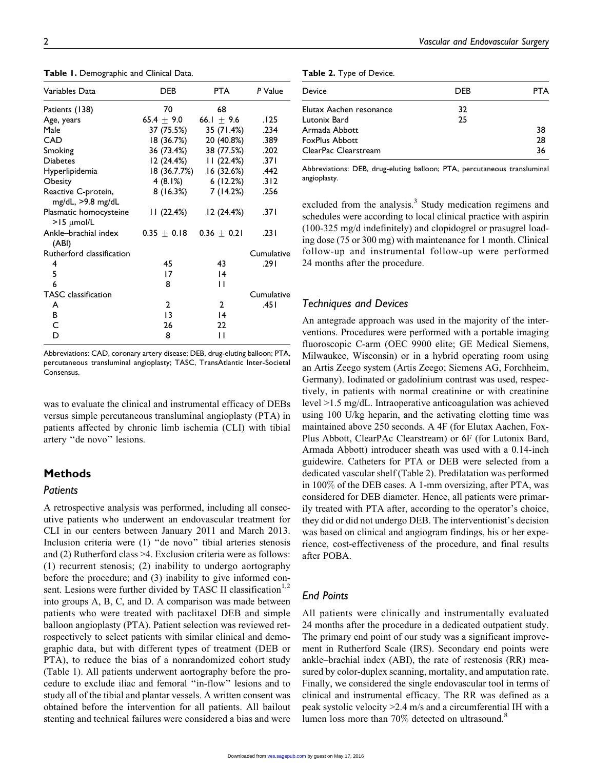| Variables Data                           | <b>DEB</b>      | PTA.                    | P Value    |
|------------------------------------------|-----------------|-------------------------|------------|
| Patients (138)                           | 70              | 68                      |            |
| Age, years                               | $65.4 + 9.0$    | $66.1 + 9.6$            | .125       |
| Male                                     | 37 (75.5%)      | 35 (71.4%)              | .234       |
| <b>CAD</b>                               | 18 (36.7%)      | 20 (40.8%)              | .389       |
| Smoking                                  | 36 (73.4%)      | 38 (77.5%)              | .202       |
| <b>Diabetes</b>                          |                 | $12(24.4%)$ $11(22.4%)$ | .371       |
| Hyperlipidemia                           |                 | 18 (36.7.7%) 16 (32.6%) | .442       |
| Obesity                                  | 4(8.1%)         | 6 (12.2%)               | .312       |
| Reactive C-protein,<br>mg/dL, >9.8 mg/dL | 8 (16.3%)       | 7(14.2%)                | .256       |
| Plasmatic homocysteine<br>$>15$ µmol/L   | 11(22.4%)       | 12 (24.4%)              | .371       |
| Ankle-brachial index<br>(ABI)            | $0.35 + 0.18$   | $0.36 + 0.21$           | .231       |
| Rutherford classification                |                 |                         | Cumulative |
| 4                                        | 45              | 43                      | .291       |
| 5                                        | 17              | $\overline{14}$         |            |
| 6                                        | 8               | п                       |            |
| <b>TASC</b> classification               |                 |                         | Cumulative |
| A                                        | $\mathfrak{p}$  | $\mathbf{2}$            | .451       |
| В                                        | $\overline{13}$ | $\overline{14}$         |            |
| C                                        | 26              | 22                      |            |
| D                                        | 8               | п                       |            |

Table 1. Demographic and Clinical Data.

Abbreviations: CAD, coronary artery disease; DEB, drug-eluting balloon; PTA, percutaneous transluminal angioplasty; TASC, TransAtlantic Inter-Societal Consensus.

was to evaluate the clinical and instrumental efficacy of DEBs versus simple percutaneous transluminal angioplasty (PTA) in patients affected by chronic limb ischemia (CLI) with tibial artery ''de novo'' lesions.

# **Methods**

# **Patients**

A retrospective analysis was performed, including all consecutive patients who underwent an endovascular treatment for CLI in our centers between January 2011 and March 2013. Inclusion criteria were (1) ''de novo'' tibial arteries stenosis and (2) Rutherford class >4. Exclusion criteria were as follows: (1) recurrent stenosis; (2) inability to undergo aortography before the procedure; and (3) inability to give informed consent. Lesions were further divided by TASC II classification<sup>1,2</sup> into groups A, B, C, and D. A comparison was made between patients who were treated with paclitaxel DEB and simple balloon angioplasty (PTA). Patient selection was reviewed retrospectively to select patients with similar clinical and demographic data, but with different types of treatment (DEB or PTA), to reduce the bias of a nonrandomized cohort study (Table 1). All patients underwent aortography before the procedure to exclude iliac and femoral ''in-flow'' lesions and to study all of the tibial and plantar vessels. A written consent was obtained before the intervention for all patients. All bailout stenting and technical failures were considered a bias and were

|  |  |  |  |  |  | Table 2. Type of Device. |
|--|--|--|--|--|--|--------------------------|
|--|--|--|--|--|--|--------------------------|

| Device                  | DEB | PTA |
|-------------------------|-----|-----|
|                         |     |     |
| Elutax Aachen resonance | 32  |     |
| Lutonix Bard            | 25  |     |
| Armada Abbott           |     | 38  |
| <b>FoxPlus Abbott</b>   |     | 28  |
| ClearPac Clearstream    |     | 36  |

Abbreviations: DEB, drug-eluting balloon; PTA, percutaneous transluminal angioplasty.

excluded from the analysis. $3$  Study medication regimens and schedules were according to local clinical practice with aspirin (100-325 mg/d indefinitely) and clopidogrel or prasugrel loading dose (75 or 300 mg) with maintenance for 1 month. Clinical follow-up and instrumental follow-up were performed 24 months after the procedure.

# Techniques and Devices

An antegrade approach was used in the majority of the interventions. Procedures were performed with a portable imaging fluoroscopic C-arm (OEC 9900 elite; GE Medical Siemens, Milwaukee, Wisconsin) or in a hybrid operating room using an Artis Zeego system (Artis Zeego; Siemens AG, Forchheim, Germany). Iodinated or gadolinium contrast was used, respectively, in patients with normal creatinine or with creatinine level >1.5 mg/dL. Intraoperative anticoagulation was achieved using 100 U/kg heparin, and the activating clotting time was maintained above 250 seconds. A 4F (for Elutax Aachen, Fox-Plus Abbott, ClearPAc Clearstream) or 6F (for Lutonix Bard, Armada Abbott) introducer sheath was used with a 0.14-inch guidewire. Catheters for PTA or DEB were selected from a dedicated vascular shelf (Table 2). Predilatation was performed in 100% of the DEB cases. A 1-mm oversizing, after PTA, was considered for DEB diameter. Hence, all patients were primarily treated with PTA after, according to the operator's choice, they did or did not undergo DEB. The interventionist's decision was based on clinical and angiogram findings, his or her experience, cost-effectiveness of the procedure, and final results after POBA.

# End Points

All patients were clinically and instrumentally evaluated 24 months after the procedure in a dedicated outpatient study. The primary end point of our study was a significant improvement in Rutherford Scale (IRS). Secondary end points were ankle–brachial index (ABI), the rate of restenosis (RR) measured by color-duplex scanning, mortality, and amputation rate. Finally, we considered the single endovascular tool in terms of clinical and instrumental efficacy. The RR was defined as a peak systolic velocity >2.4 m/s and a circumferential IH with a lumen loss more than  $70\%$  detected on ultrasound.<sup>8</sup>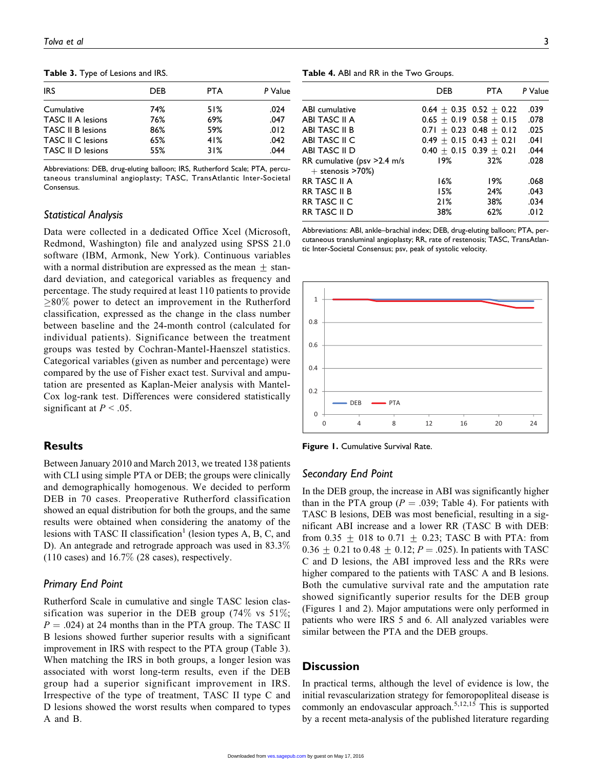| <b>IRS</b>               | DEB | <b>PTA</b> | P Value |
|--------------------------|-----|------------|---------|
| Cumulative               | 74% | 51%        | .024    |
| <b>TASC II A lesions</b> | 76% | 69%        | .047    |
| <b>TASC II B lesions</b> | 86% | 59%        | .012    |
| <b>TASC II C lesions</b> | 65% | 41%        | .042    |
| <b>TASC II D lesions</b> | 55% | 31%        | .044    |
|                          |     |            |         |

Table 3. Type of Lesions and IRS.

Abbreviations: DEB, drug-eluting balloon; IRS, Rutherford Scale; PTA, percutaneous transluminal angioplasty; TASC, TransAtlantic Inter-Societal Consensus.

#### Statistical Analysis

Data were collected in a dedicated Office Xcel (Microsoft, Redmond, Washington) file and analyzed using SPSS 21.0 software (IBM, Armonk, New York). Continuous variables with a normal distribution are expressed as the mean  $\pm$  standard deviation, and categorical variables as frequency and percentage. The study required at least 110 patients to provide  $\geq 80\%$  power to detect an improvement in the Rutherford classification, expressed as the change in the class number between baseline and the 24-month control (calculated for individual patients). Significance between the treatment groups was tested by Cochran-Mantel-Haenszel statistics. Categorical variables (given as number and percentage) were compared by the use of Fisher exact test. Survival and amputation are presented as Kaplan-Meier analysis with Mantel-Cox log-rank test. Differences were considered statistically significant at  $P < .05$ .

# **Results**

Between January 2010 and March 2013, we treated 138 patients with CLI using simple PTA or DEB; the groups were clinically and demographically homogenous. We decided to perform DEB in 70 cases. Preoperative Rutherford classification showed an equal distribution for both the groups, and the same results were obtained when considering the anatomy of the lesions with TASC II classification<sup>1</sup> (lesion types A, B, C, and D). An antegrade and retrograde approach was used in 83.3% (110 cases) and 16.7% (28 cases), respectively.

#### Primary End Point

Rutherford Scale in cumulative and single TASC lesion classification was superior in the DEB group (74\% vs 51\%;  $P = .024$ ) at 24 months than in the PTA group. The TASC II B lesions showed further superior results with a significant improvement in IRS with respect to the PTA group (Table 3). When matching the IRS in both groups, a longer lesion was associated with worst long-term results, even if the DEB group had a superior significant improvement in IRS. Irrespective of the type of treatment, TASC II type C and D lesions showed the worst results when compared to types A and B.

Table 4. ABI and RR in the Two Groups.

|                                                    | <b>DFB</b> | <b>PTA</b>                  | P Value |
|----------------------------------------------------|------------|-----------------------------|---------|
| ABI cumulative                                     |            | $0.64 + 0.35$ $0.52 + 0.22$ | .039    |
| ABI TASC II A                                      |            | $0.65 + 0.19$ $0.58 + 0.15$ | .078    |
| ABI TASC II B                                      |            | $0.71 + 0.23$ 0.48 + 0.12   | .025    |
| ABI TASC II C                                      |            | $0.49 + 0.15$ 0.43 + 0.21   | .041    |
| ABI TASC II D                                      |            | $0.40 + 0.15$ 0.39 + 0.21   | .044    |
| RR cumulative (psv > 2.4 m/s<br>$+$ stenosis >70%) | 19%        | 32%                         | .028    |
| <b>RR TASC II A</b>                                | 16%        | 19%                         | .068    |
| <b>RR TASC II B</b>                                | 15%        | 24%                         | .043    |
| <b>RR TASC II C</b>                                | 21%        | 38%                         | .034    |
| <b>RR TASC II D</b>                                | 38%        | 62%                         | .012    |

Abbreviations: ABI, ankle–brachial index; DEB, drug-eluting balloon; PTA, percutaneous transluminal angioplasty; RR, rate of restenosis; TASC, TransAtlantic Inter-Societal Consensus; psv, peak of systolic velocity.



Figure 1. Cumulative Survival Rate.

#### Secondary End Point

In the DEB group, the increase in ABI was significantly higher than in the PTA group ( $P = .039$ ; Table 4). For patients with TASC B lesions, DEB was most beneficial, resulting in a significant ABI increase and a lower RR (TASC B with DEB: from 0.35  $\pm$  018 to 0.71  $\pm$  0.23; TASC B with PTA: from 0.36  $\pm$  0.21 to 0.48  $\pm$  0.12; P = .025). In patients with TASC C and D lesions, the ABI improved less and the RRs were higher compared to the patients with TASC A and B lesions. Both the cumulative survival rate and the amputation rate showed significantly superior results for the DEB group (Figures 1 and 2). Major amputations were only performed in patients who were IRS 5 and 6. All analyzed variables were similar between the PTA and the DEB groups.

### **Discussion**

In practical terms, although the level of evidence is low, the initial revascularization strategy for femoropopliteal disease is commonly an endovascular approach.<sup>5,12,15</sup> This is supported by a recent meta-analysis of the published literature regarding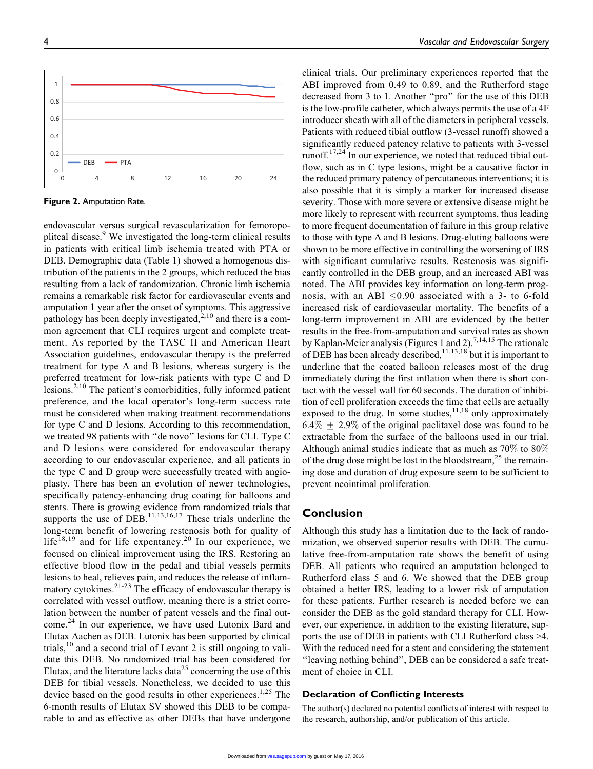

Figure 2. Amputation Rate.

endovascular versus surgical revascularization for femoropopliteal disease.<sup>9</sup> We investigated the long-term clinical results in patients with critical limb ischemia treated with PTA or DEB. Demographic data (Table 1) showed a homogenous distribution of the patients in the 2 groups, which reduced the bias resulting from a lack of randomization. Chronic limb ischemia remains a remarkable risk factor for cardiovascular events and amputation 1 year after the onset of symptoms. This aggressive pathology has been deeply investigated, $2,10$  and there is a common agreement that CLI requires urgent and complete treatment. As reported by the TASC II and American Heart Association guidelines, endovascular therapy is the preferred treatment for type A and B lesions, whereas surgery is the preferred treatment for low-risk patients with type C and D lesions.2,10 The patient's comorbidities, fully informed patient preference, and the local operator's long-term success rate must be considered when making treatment recommendations for type C and D lesions. According to this recommendation, we treated 98 patients with ''de novo'' lesions for CLI. Type C and D lesions were considered for endovascular therapy according to our endovascular experience, and all patients in the type C and D group were successfully treated with angioplasty. There has been an evolution of newer technologies, specifically patency-enhancing drug coating for balloons and stents. There is growing evidence from randomized trials that supports the use of  $DEB$ ,  $^{11,13,16,17}$  These trials underline the long-term benefit of lowering restenosis both for quality of life<sup>18,19</sup> and for life expentancy.<sup>20</sup> In our experience, we focused on clinical improvement using the IRS. Restoring an effective blood flow in the pedal and tibial vessels permits lesions to heal, relieves pain, and reduces the release of inflammatory cytokines. $2^{1-23}$  The efficacy of endovascular therapy is correlated with vessel outflow, meaning there is a strict correlation between the number of patent vessels and the final outcome.<sup>24</sup> In our experience, we have used Lutonix Bard and Elutax Aachen as DEB. Lutonix has been supported by clinical trials,  $^{10}$  and a second trial of Levant 2 is still ongoing to validate this DEB. No randomized trial has been considered for Elutax, and the literature lacks data<sup>25</sup> concerning the use of this DEB for tibial vessels. Nonetheless, we decided to use this device based on the good results in other experiences.<sup>1,25</sup> The 6-month results of Elutax SV showed this DEB to be comparable to and as effective as other DEBs that have undergone

clinical trials. Our preliminary experiences reported that the ABI improved from 0.49 to 0.89, and the Rutherford stage decreased from 3 to 1. Another ''pro'' for the use of this DEB is the low-profile catheter, which always permits the use of a 4F introducer sheath with all of the diameters in peripheral vessels. Patients with reduced tibial outflow (3-vessel runoff) showed a significantly reduced patency relative to patients with 3-vessel runoff.<sup>17,24</sup> In our experience, we noted that reduced tibial outflow, such as in C type lesions, might be a causative factor in the reduced primary patency of percutaneous interventions; it is also possible that it is simply a marker for increased disease severity. Those with more severe or extensive disease might be more likely to represent with recurrent symptoms, thus leading to more frequent documentation of failure in this group relative to those with type A and B lesions. Drug-eluting balloons were shown to be more effective in controlling the worsening of IRS with significant cumulative results. Restenosis was significantly controlled in the DEB group, and an increased ABI was noted. The ABI provides key information on long-term prognosis, with an ABI  $\leq 0.90$  associated with a 3- to 6-fold increased risk of cardiovascular mortality. The benefits of a long-term improvement in ABI are evidenced by the better results in the free-from-amputation and survival rates as shown by Kaplan-Meier analysis (Figures 1 and 2).<sup>7,14,15</sup> The rationale of DEB has been already described,  $11,13,18$  but it is important to underline that the coated balloon releases most of the drug immediately during the first inflation when there is short contact with the vessel wall for 60 seconds. The duration of inhibition of cell proliferation exceeds the time that cells are actually exposed to the drug. In some studies,  $11,18$  only approximately  $6.4\% + 2.9\%$  of the original paclitaxel dose was found to be extractable from the surface of the balloons used in our trial. Although animal studies indicate that as much as 70% to 80% of the drug dose might be lost in the bloodstream,<sup>25</sup> the remaining dose and duration of drug exposure seem to be sufficient to prevent neointimal proliferation.

# Conclusion

Although this study has a limitation due to the lack of randomization, we observed superior results with DEB. The cumulative free-from-amputation rate shows the benefit of using DEB. All patients who required an amputation belonged to Rutherford class 5 and 6. We showed that the DEB group obtained a better IRS, leading to a lower risk of amputation for these patients. Further research is needed before we can consider the DEB as the gold standard therapy for CLI. However, our experience, in addition to the existing literature, supports the use of DEB in patients with CLI Rutherford class >4. With the reduced need for a stent and considering the statement ''leaving nothing behind'', DEB can be considered a safe treatment of choice in CLI.

# Declaration of Conflicting Interests

The author(s) declared no potential conflicts of interest with respect to the research, authorship, and/or publication of this article.